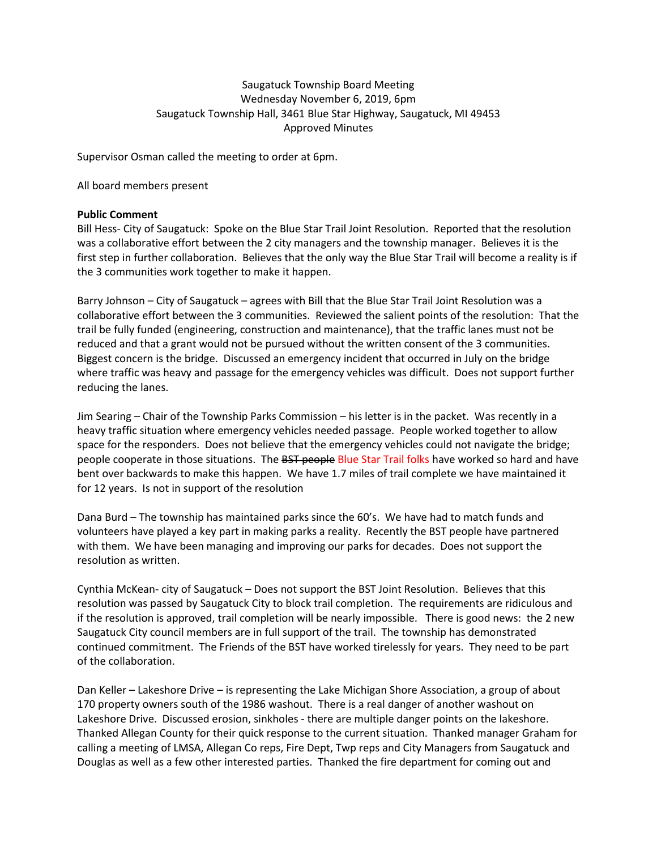# Saugatuck Township Board Meeting Wednesday November 6, 2019, 6pm Saugatuck Township Hall, 3461 Blue Star Highway, Saugatuck, MI 49453 Approved Minutes

Supervisor Osman called the meeting to order at 6pm.

All board members present

### **Public Comment**

Bill Hess- City of Saugatuck: Spoke on the Blue Star Trail Joint Resolution. Reported that the resolution was a collaborative effort between the 2 city managers and the township manager. Believes it is the first step in further collaboration. Believes that the only way the Blue Star Trail will become a reality is if the 3 communities work together to make it happen.

Barry Johnson – City of Saugatuck – agrees with Bill that the Blue Star Trail Joint Resolution was a collaborative effort between the 3 communities. Reviewed the salient points of the resolution: That the trail be fully funded (engineering, construction and maintenance), that the traffic lanes must not be reduced and that a grant would not be pursued without the written consent of the 3 communities. Biggest concern is the bridge. Discussed an emergency incident that occurred in July on the bridge where traffic was heavy and passage for the emergency vehicles was difficult. Does not support further reducing the lanes.

Jim Searing – Chair of the Township Parks Commission – his letter is in the packet. Was recently in a heavy traffic situation where emergency vehicles needed passage. People worked together to allow space for the responders. Does not believe that the emergency vehicles could not navigate the bridge; people cooperate in those situations. The **BST people Blue Star Trail folks have worked so hard and have** bent over backwards to make this happen. We have 1.7 miles of trail complete we have maintained it for 12 years. Is not in support of the resolution

Dana Burd – The township has maintained parks since the 60's. We have had to match funds and volunteers have played a key part in making parks a reality. Recently the BST people have partnered with them. We have been managing and improving our parks for decades. Does not support the resolution as written.

Cynthia McKean- city of Saugatuck – Does not support the BST Joint Resolution. Believes that this resolution was passed by Saugatuck City to block trail completion. The requirements are ridiculous and if the resolution is approved, trail completion will be nearly impossible. There is good news: the 2 new Saugatuck City council members are in full support of the trail. The township has demonstrated continued commitment. The Friends of the BST have worked tirelessly for years. They need to be part of the collaboration.

Dan Keller – Lakeshore Drive – is representing the Lake Michigan Shore Association, a group of about 170 property owners south of the 1986 washout. There is a real danger of another washout on Lakeshore Drive. Discussed erosion, sinkholes - there are multiple danger points on the lakeshore. Thanked Allegan County for their quick response to the current situation. Thanked manager Graham for calling a meeting of LMSA, Allegan Co reps, Fire Dept, Twp reps and City Managers from Saugatuck and Douglas as well as a few other interested parties. Thanked the fire department for coming out and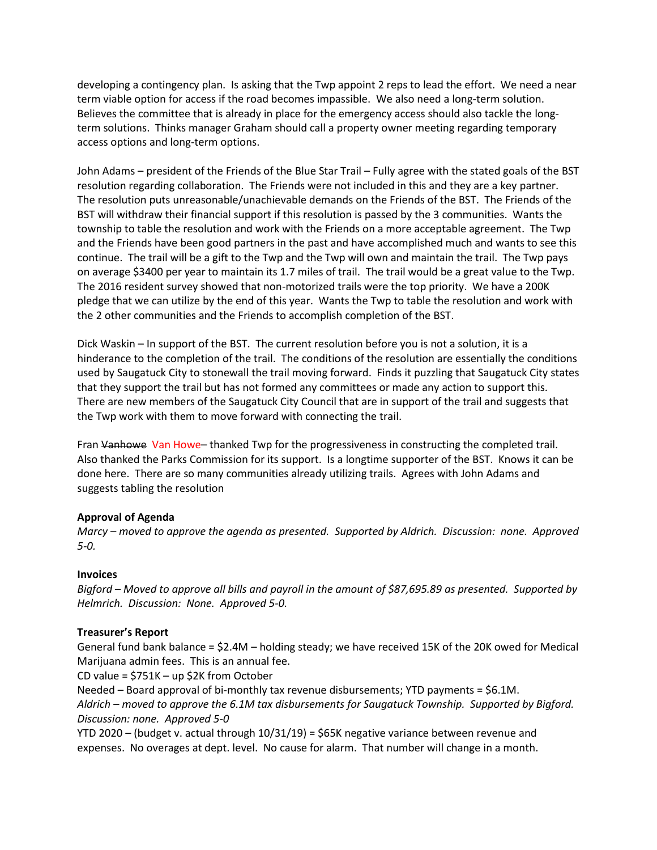developing a contingency plan. Is asking that the Twp appoint 2 reps to lead the effort. We need a near term viable option for access if the road becomes impassible. We also need a long-term solution. Believes the committee that is already in place for the emergency access should also tackle the longterm solutions. Thinks manager Graham should call a property owner meeting regarding temporary access options and long-term options.

John Adams – president of the Friends of the Blue Star Trail – Fully agree with the stated goals of the BST resolution regarding collaboration. The Friends were not included in this and they are a key partner. The resolution puts unreasonable/unachievable demands on the Friends of the BST. The Friends of the BST will withdraw their financial support if this resolution is passed by the 3 communities. Wants the township to table the resolution and work with the Friends on a more acceptable agreement. The Twp and the Friends have been good partners in the past and have accomplished much and wants to see this continue. The trail will be a gift to the Twp and the Twp will own and maintain the trail. The Twp pays on average \$3400 per year to maintain its 1.7 miles of trail. The trail would be a great value to the Twp. The 2016 resident survey showed that non-motorized trails were the top priority. We have a 200K pledge that we can utilize by the end of this year. Wants the Twp to table the resolution and work with the 2 other communities and the Friends to accomplish completion of the BST.

Dick Waskin – In support of the BST. The current resolution before you is not a solution, it is a hinderance to the completion of the trail. The conditions of the resolution are essentially the conditions used by Saugatuck City to stonewall the trail moving forward. Finds it puzzling that Saugatuck City states that they support the trail but has not formed any committees or made any action to support this. There are new members of the Saugatuck City Council that are in support of the trail and suggests that the Twp work with them to move forward with connecting the trail.

Fran Vanhowe Van Howe– thanked Twp for the progressiveness in constructing the completed trail. Also thanked the Parks Commission for its support. Is a longtime supporter of the BST. Knows it can be done here. There are so many communities already utilizing trails. Agrees with John Adams and suggests tabling the resolution

# **Approval of Agenda**

*Marcy – moved to approve the agenda as presented. Supported by Aldrich. Discussion: none. Approved 5-0.* 

#### **Invoices**

*Bigford – Moved to approve all bills and payroll in the amount of \$87,695.89 as presented. Supported by Helmrich. Discussion: None. Approved 5-0.* 

#### **Treasurer's Report**

General fund bank balance = \$2.4M – holding steady; we have received 15K of the 20K owed for Medical Marijuana admin fees. This is an annual fee.

CD value = \$751K – up \$2K from October

Needed – Board approval of bi-monthly tax revenue disbursements; YTD payments = \$6.1M. *Aldrich – moved to approve the 6.1M tax disbursements for Saugatuck Township. Supported by Bigford. Discussion: none. Approved 5-0*

YTD 2020 – (budget v. actual through 10/31/19) = \$65K negative variance between revenue and expenses. No overages at dept. level. No cause for alarm. That number will change in a month.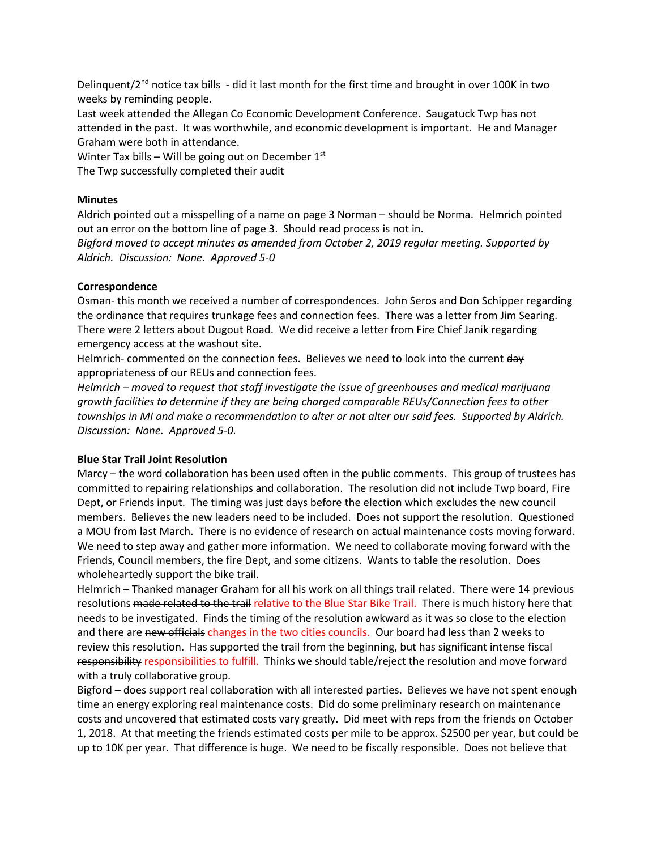Delinquent/ $2<sup>nd</sup>$  notice tax bills - did it last month for the first time and brought in over 100K in two weeks by reminding people.

Last week attended the Allegan Co Economic Development Conference. Saugatuck Twp has not attended in the past. It was worthwhile, and economic development is important. He and Manager Graham were both in attendance.

Winter Tax bills – Will be going out on December  $1<sup>st</sup>$ The Twp successfully completed their audit

### **Minutes**

Aldrich pointed out a misspelling of a name on page 3 Norman – should be Norma. Helmrich pointed out an error on the bottom line of page 3. Should read process is not in.

*Bigford moved to accept minutes as amended from October 2, 2019 regular meeting. Supported by Aldrich. Discussion: None. Approved 5-0*

### **Correspondence**

Osman- this month we received a number of correspondences. John Seros and Don Schipper regarding the ordinance that requires trunkage fees and connection fees. There was a letter from Jim Searing. There were 2 letters about Dugout Road. We did receive a letter from Fire Chief Janik regarding emergency access at the washout site.

Helmrich- commented on the connection fees. Believes we need to look into the current day appropriateness of our REUs and connection fees.

*Helmrich – moved to request that staff investigate the issue of greenhouses and medical marijuana growth facilities to determine if they are being charged comparable REUs/Connection fees to other townships in MI and make a recommendation to alter or not alter our said fees. Supported by Aldrich. Discussion: None. Approved 5-0.*

#### **Blue Star Trail Joint Resolution**

Marcy – the word collaboration has been used often in the public comments. This group of trustees has committed to repairing relationships and collaboration. The resolution did not include Twp board, Fire Dept, or Friends input. The timing was just days before the election which excludes the new council members. Believes the new leaders need to be included. Does not support the resolution. Questioned a MOU from last March. There is no evidence of research on actual maintenance costs moving forward. We need to step away and gather more information. We need to collaborate moving forward with the Friends, Council members, the fire Dept, and some citizens. Wants to table the resolution. Does wholeheartedly support the bike trail.

Helmrich – Thanked manager Graham for all his work on all things trail related. There were 14 previous resolutions made related to the trail relative to the Blue Star Bike Trail. There is much history here that needs to be investigated. Finds the timing of the resolution awkward as it was so close to the election and there are new officials changes in the two cities councils. Our board had less than 2 weeks to review this resolution. Has supported the trail from the beginning, but has significant intense fiscal responsibility responsibilities to fulfill. Thinks we should table/reject the resolution and move forward with a truly collaborative group.

Bigford – does support real collaboration with all interested parties. Believes we have not spent enough time an energy exploring real maintenance costs. Did do some preliminary research on maintenance costs and uncovered that estimated costs vary greatly. Did meet with reps from the friends on October 1, 2018. At that meeting the friends estimated costs per mile to be approx. \$2500 per year, but could be up to 10K per year. That difference is huge. We need to be fiscally responsible. Does not believe that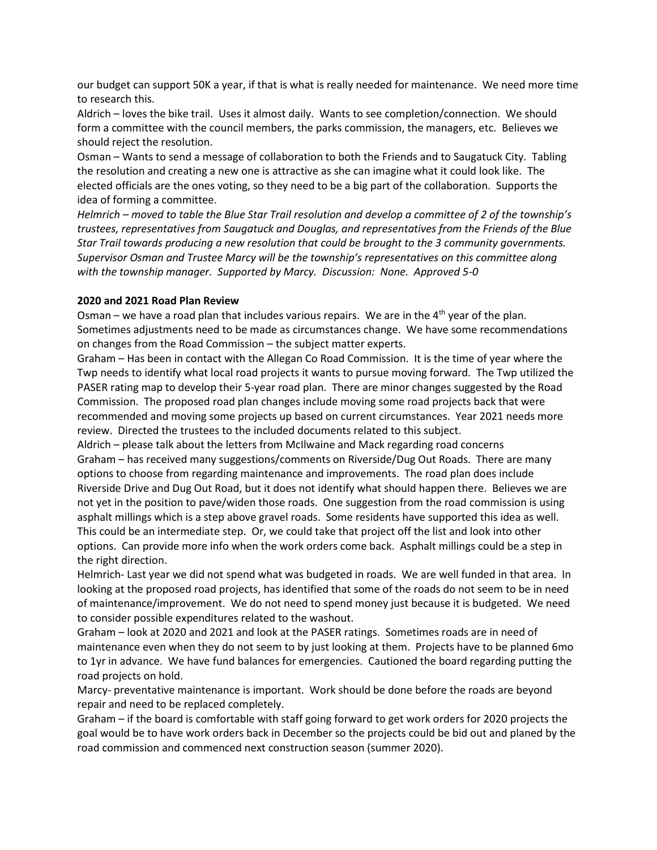our budget can support 50K a year, if that is what is really needed for maintenance. We need more time to research this.

Aldrich – loves the bike trail. Uses it almost daily. Wants to see completion/connection. We should form a committee with the council members, the parks commission, the managers, etc. Believes we should reject the resolution.

Osman – Wants to send a message of collaboration to both the Friends and to Saugatuck City. Tabling the resolution and creating a new one is attractive as she can imagine what it could look like. The elected officials are the ones voting, so they need to be a big part of the collaboration. Supports the idea of forming a committee.

*Helmrich – moved to table the Blue Star Trail resolution and develop a committee of 2 of the township's trustees, representatives from Saugatuck and Douglas, and representatives from the Friends of the Blue Star Trail towards producing a new resolution that could be brought to the 3 community governments. Supervisor Osman and Trustee Marcy will be the township's representatives on this committee along with the township manager. Supported by Marcy. Discussion: None. Approved 5-0*

### **2020 and 2021 Road Plan Review**

Osman – we have a road plan that includes various repairs. We are in the  $4<sup>th</sup>$  year of the plan. Sometimes adjustments need to be made as circumstances change. We have some recommendations on changes from the Road Commission – the subject matter experts.

Graham – Has been in contact with the Allegan Co Road Commission. It is the time of year where the Twp needs to identify what local road projects it wants to pursue moving forward. The Twp utilized the PASER rating map to develop their 5-year road plan. There are minor changes suggested by the Road Commission. The proposed road plan changes include moving some road projects back that were recommended and moving some projects up based on current circumstances. Year 2021 needs more review. Directed the trustees to the included documents related to this subject.

Aldrich – please talk about the letters from McIlwaine and Mack regarding road concerns Graham – has received many suggestions/comments on Riverside/Dug Out Roads. There are many options to choose from regarding maintenance and improvements. The road plan does include Riverside Drive and Dug Out Road, but it does not identify what should happen there. Believes we are not yet in the position to pave/widen those roads. One suggestion from the road commission is using asphalt millings which is a step above gravel roads. Some residents have supported this idea as well. This could be an intermediate step. Or, we could take that project off the list and look into other options. Can provide more info when the work orders come back. Asphalt millings could be a step in the right direction.

Helmrich- Last year we did not spend what was budgeted in roads. We are well funded in that area. In looking at the proposed road projects, has identified that some of the roads do not seem to be in need of maintenance/improvement. We do not need to spend money just because it is budgeted. We need to consider possible expenditures related to the washout.

Graham – look at 2020 and 2021 and look at the PASER ratings. Sometimes roads are in need of maintenance even when they do not seem to by just looking at them. Projects have to be planned 6mo to 1yr in advance. We have fund balances for emergencies. Cautioned the board regarding putting the road projects on hold.

Marcy- preventative maintenance is important. Work should be done before the roads are beyond repair and need to be replaced completely.

Graham – if the board is comfortable with staff going forward to get work orders for 2020 projects the goal would be to have work orders back in December so the projects could be bid out and planed by the road commission and commenced next construction season (summer 2020).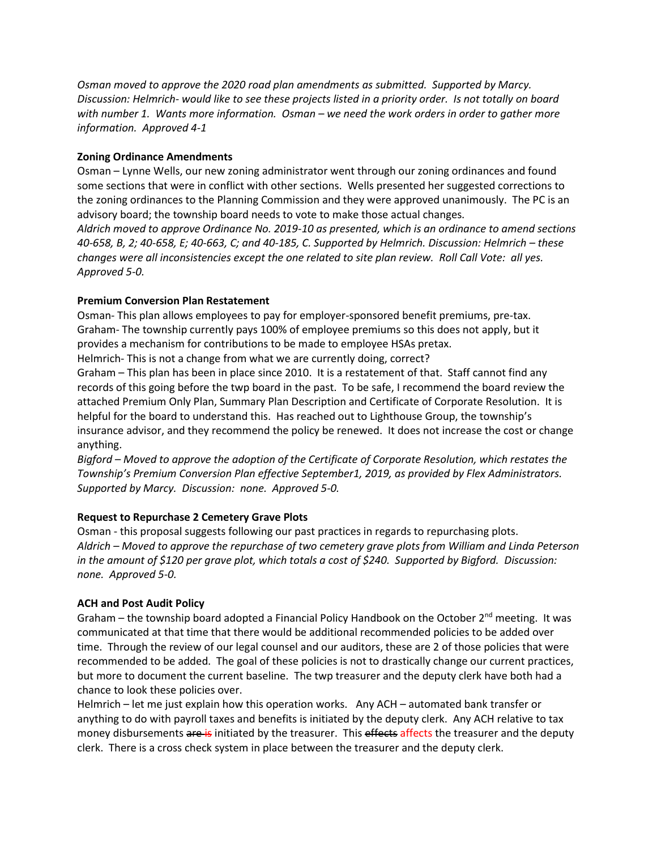*Osman moved to approve the 2020 road plan amendments as submitted. Supported by Marcy. Discussion: Helmrich- would like to see these projects listed in a priority order. Is not totally on board with number 1. Wants more information. Osman – we need the work orders in order to gather more information. Approved 4-1*

# **Zoning Ordinance Amendments**

Osman – Lynne Wells, our new zoning administrator went through our zoning ordinances and found some sections that were in conflict with other sections. Wells presented her suggested corrections to the zoning ordinances to the Planning Commission and they were approved unanimously. The PC is an advisory board; the township board needs to vote to make those actual changes.

*Aldrich moved to approve Ordinance No. 2019-10 as presented, which is an ordinance to amend sections 40-658, B, 2; 40-658, E; 40-663, C; and 40-185, C. Supported by Helmrich. Discussion: Helmrich – these changes were all inconsistencies except the one related to site plan review. Roll Call Vote: all yes. Approved 5-0.*

# **Premium Conversion Plan Restatement**

Osman- This plan allows employees to pay for employer-sponsored benefit premiums, pre-tax. Graham- The township currently pays 100% of employee premiums so this does not apply, but it provides a mechanism for contributions to be made to employee HSAs pretax.

Helmrich- This is not a change from what we are currently doing, correct?

Graham – This plan has been in place since 2010. It is a restatement of that. Staff cannot find any records of this going before the twp board in the past. To be safe, I recommend the board review the attached Premium Only Plan, Summary Plan Description and Certificate of Corporate Resolution. It is helpful for the board to understand this. Has reached out to Lighthouse Group, the township's insurance advisor, and they recommend the policy be renewed. It does not increase the cost or change anything.

*Bigford – Moved to approve the adoption of the Certificate of Corporate Resolution, which restates the Township's Premium Conversion Plan effective September1, 2019, as provided by Flex Administrators. Supported by Marcy. Discussion: none. Approved 5-0.*

# **Request to Repurchase 2 Cemetery Grave Plots**

Osman - this proposal suggests following our past practices in regards to repurchasing plots. *Aldrich – Moved to approve the repurchase of two cemetery grave plots from William and Linda Peterson in the amount of \$120 per grave plot, which totals a cost of \$240. Supported by Bigford. Discussion: none. Approved 5-0.* 

# **ACH and Post Audit Policy**

Graham – the township board adopted a Financial Policy Handbook on the October  $2^{nd}$  meeting. It was communicated at that time that there would be additional recommended policies to be added over time. Through the review of our legal counsel and our auditors, these are 2 of those policies that were recommended to be added. The goal of these policies is not to drastically change our current practices, but more to document the current baseline. The twp treasurer and the deputy clerk have both had a chance to look these policies over.

Helmrich – let me just explain how this operation works. Any ACH – automated bank transfer or anything to do with payroll taxes and benefits is initiated by the deputy clerk. Any ACH relative to tax money disbursements are is initiated by the treasurer. This effects affects the treasurer and the deputy clerk. There is a cross check system in place between the treasurer and the deputy clerk.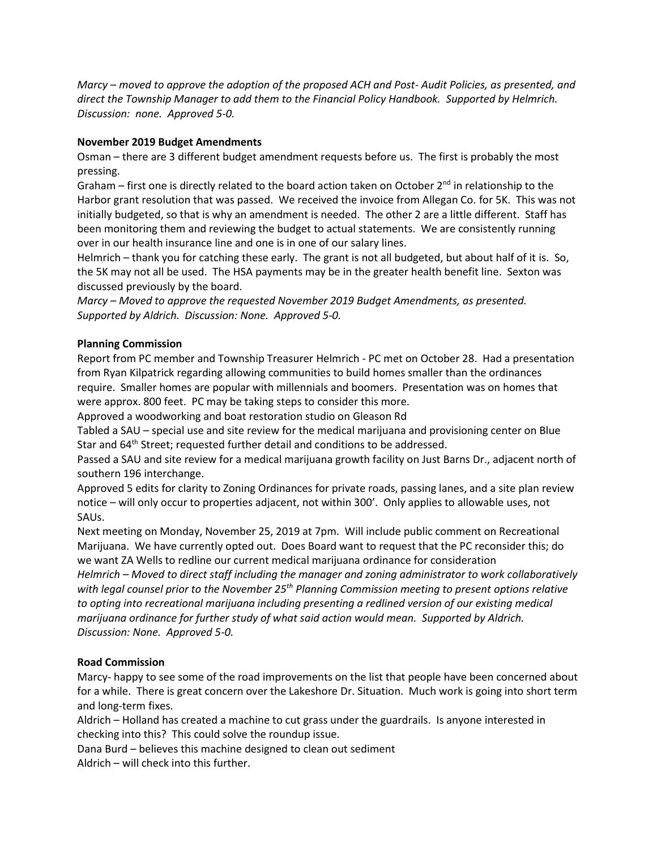*Marcy – moved to approve the adoption of the proposed ACH and Post- Audit Policies, as presented, and direct the Township Manager to add them to the Financial Policy Handbook. Supported by Helmrich. Discussion: none. Approved 5-0.* 

# **November 2019 Budget Amendments**

Osman – there are 3 different budget amendment requests before us. The first is probably the most pressing.

Graham – first one is directly related to the board action taken on October  $2^{nd}$  in relationship to the Harbor grant resolution that was passed. We received the invoice from Allegan Co. for 5K. This was not initially budgeted, so that is why an amendment is needed. The other 2 are a little different. Staff has been monitoring them and reviewing the budget to actual statements. We are consistently running over in our health insurance line and one is in one of our salary lines.

Helmrich – thank you for catching these early. The grant is not all budgeted, but about half of it is. So, the 5K may not all be used. The HSA payments may be in the greater health benefit line. Sexton was discussed previously by the board.

*Marcy – Moved to approve the requested November 2019 Budget Amendments, as presented. Supported by Aldrich. Discussion: None. Approved 5-0.*

# **Planning Commission**

Report from PC member and Township Treasurer Helmrich - PC met on October 28. Had a presentation from Ryan Kilpatrick regarding allowing communities to build homes smaller than the ordinances require. Smaller homes are popular with millennials and boomers. Presentation was on homes that were approx. 800 feet. PC may be taking steps to consider this more.

Approved a woodworking and boat restoration studio on Gleason Rd

Tabled a SAU – special use and site review for the medical marijuana and provisioning center on Blue Star and 64<sup>th</sup> Street; requested further detail and conditions to be addressed.

Passed a SAU and site review for a medical marijuana growth facility on Just Barns Dr., adjacent north of southern 196 interchange.

Approved 5 edits for clarity to Zoning Ordinances for private roads, passing lanes, and a site plan review notice – will only occur to properties adjacent, not within 300'. Only applies to allowable uses, not SAUs.

Next meeting on Monday, November 25, 2019 at 7pm. Will include public comment on Recreational Marijuana. We have currently opted out. Does Board want to request that the PC reconsider this; do we want ZA Wells to redline our current medical marijuana ordinance for consideration

*Helmrich – Moved to direct staff including the manager and zoning administrator to work collaboratively with legal counsel prior to the November 25th Planning Commission meeting to present options relative to opting into recreational marijuana including presenting a redlined version of our existing medical marijuana ordinance for further study of what said action would mean. Supported by Aldrich. Discussion: None. Approved 5-0.* 

# **Road Commission**

Marcy- happy to see some of the road improvements on the list that people have been concerned about for a while. There is great concern over the Lakeshore Dr. Situation. Much work is going into short term and long-term fixes.

Aldrich – Holland has created a machine to cut grass under the guardrails. Is anyone interested in checking into this? This could solve the roundup issue.

Dana Burd – believes this machine designed to clean out sediment

Aldrich – will check into this further.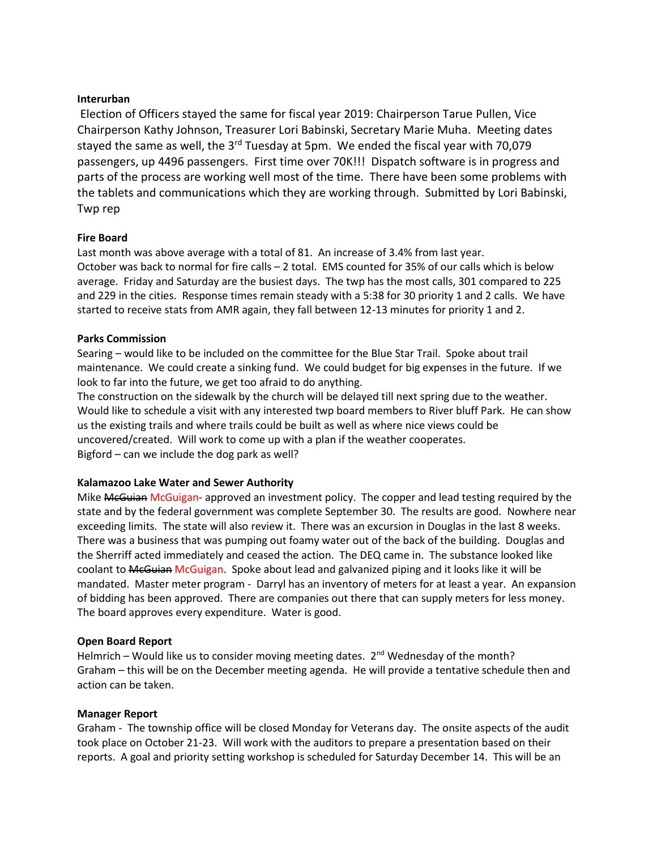### **Interurban**

Election of Officers stayed the same for fiscal year 2019: Chairperson Tarue Pullen, Vice Chairperson Kathy Johnson, Treasurer Lori Babinski, Secretary Marie Muha. Meeting dates stayed the same as well, the  $3<sup>rd</sup>$  Tuesday at 5pm. We ended the fiscal year with 70,079 passengers, up 4496 passengers. First time over 70K!!! Dispatch software is in progress and parts of the process are working well most of the time. There have been some problems with the tablets and communications which they are working through. Submitted by Lori Babinski, Twp rep

### **Fire Board**

Last month was above average with a total of 81. An increase of 3.4% from last year. October was back to normal for fire calls – 2 total. EMS counted for 35% of our calls which is below average. Friday and Saturday are the busiest days. The twp has the most calls, 301 compared to 225 and 229 in the cities. Response times remain steady with a 5:38 for 30 priority 1 and 2 calls. We have started to receive stats from AMR again, they fall between 12-13 minutes for priority 1 and 2.

### **Parks Commission**

Searing – would like to be included on the committee for the Blue Star Trail. Spoke about trail maintenance. We could create a sinking fund. We could budget for big expenses in the future. If we look to far into the future, we get too afraid to do anything.

The construction on the sidewalk by the church will be delayed till next spring due to the weather. Would like to schedule a visit with any interested twp board members to River bluff Park. He can show us the existing trails and where trails could be built as well as where nice views could be uncovered/created. Will work to come up with a plan if the weather cooperates. Bigford – can we include the dog park as well?

# **Kalamazoo Lake Water and Sewer Authority**

Mike McGuian McGuigan- approved an investment policy. The copper and lead testing required by the state and by the federal government was complete September 30. The results are good. Nowhere near exceeding limits. The state will also review it. There was an excursion in Douglas in the last 8 weeks. There was a business that was pumping out foamy water out of the back of the building. Douglas and the Sherriff acted immediately and ceased the action. The DEQ came in. The substance looked like coolant to MeGuian McGuigan. Spoke about lead and galvanized piping and it looks like it will be mandated. Master meter program - Darryl has an inventory of meters for at least a year. An expansion of bidding has been approved. There are companies out there that can supply meters for less money. The board approves every expenditure. Water is good.

#### **Open Board Report**

Helmrich – Would like us to consider moving meeting dates.  $2^{nd}$  Wednesday of the month? Graham – this will be on the December meeting agenda. He will provide a tentative schedule then and action can be taken.

#### **Manager Report**

Graham - The township office will be closed Monday for Veterans day. The onsite aspects of the audit took place on October 21-23. Will work with the auditors to prepare a presentation based on their reports. A goal and priority setting workshop is scheduled for Saturday December 14. This will be an